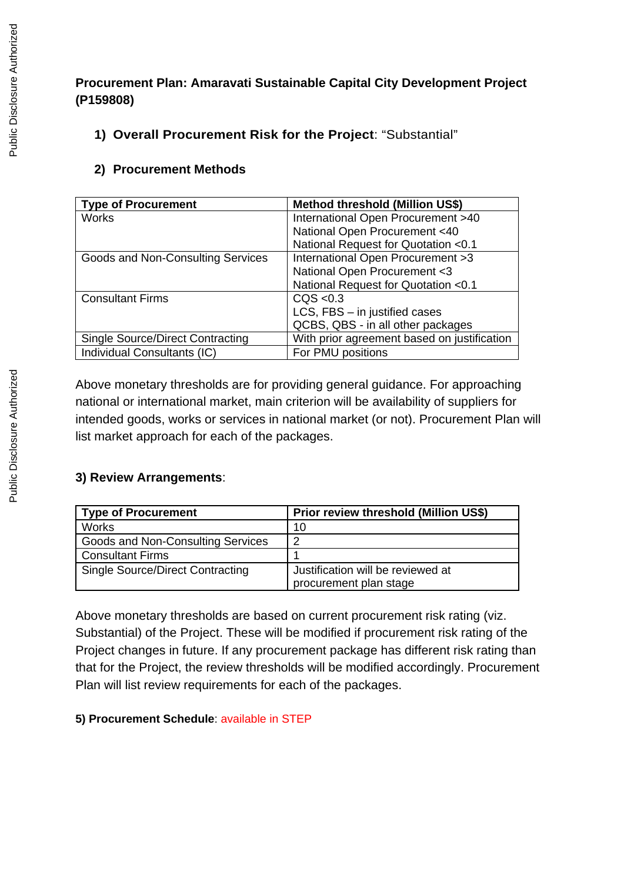# **Procurement Plan: Amaravati Sustainable Capital City Development Project (P159808)**

### **1) Overall Procurement Risk for the Project**: "Substantial"

### **2) Procurement Methods**

| <b>Type of Procurement</b>              | <b>Method threshold (Million US\$)</b>      |
|-----------------------------------------|---------------------------------------------|
| <b>Works</b>                            | International Open Procurement >40          |
|                                         | National Open Procurement <40               |
|                                         | National Request for Quotation <0.1         |
| Goods and Non-Consulting Services       | International Open Procurement >3           |
|                                         | National Open Procurement <3                |
|                                         | National Request for Quotation <0.1         |
| <b>Consultant Firms</b>                 | CQS < 0.3                                   |
|                                         | $LCS$ , FBS $-$ in justified cases          |
|                                         | QCBS, QBS - in all other packages           |
| <b>Single Source/Direct Contracting</b> | With prior agreement based on justification |
| Individual Consultants (IC)             | For PMU positions                           |

Above monetary thresholds are for providing general guidance. For approaching national or international market, main criterion will be availability of suppliers for intended goods, works or services in national market (or not). Procurement Plan will list market approach for each of the packages.

# **3) Review Arrangements**:

| <b>Type of Procurement</b>              | Prior review threshold (Million US\$)                       |
|-----------------------------------------|-------------------------------------------------------------|
| <b>Works</b>                            | 10                                                          |
| Goods and Non-Consulting Services       | ∍                                                           |
| <b>Consultant Firms</b>                 |                                                             |
| <b>Single Source/Direct Contracting</b> | Justification will be reviewed at<br>procurement plan stage |
|                                         |                                                             |

Above monetary thresholds are based on current procurement risk rating (viz. Substantial) of the Project. These will be modified if procurement risk rating of the Project changes in future. If any procurement package has different risk rating than that for the Project, the review thresholds will be modified accordingly. Procurement Plan will list review requirements for each of the packages.

#### **5) Procurement Schedule**: available in STEP